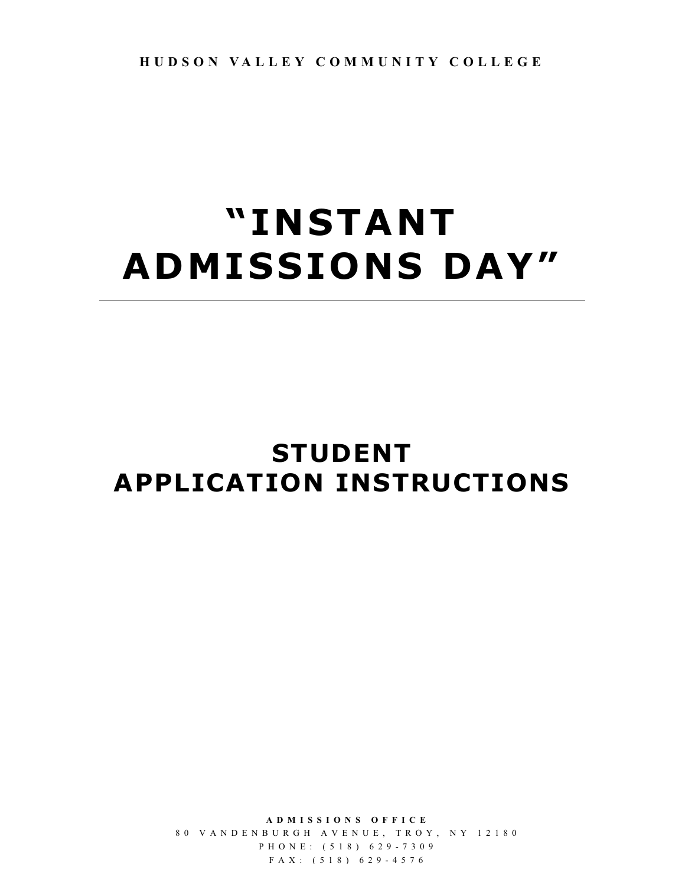## **"INSTANT ADMISSIONS DAY"**

## **STUDENT APPLICATION INSTRUCTIONS**

**ADMISSIONS OFFICE** 80 VANDENBURGH AVENUE, TROY, NY 12180 PHONE: (518) 629 - 730 9 FAX: (518) 629 - 4576